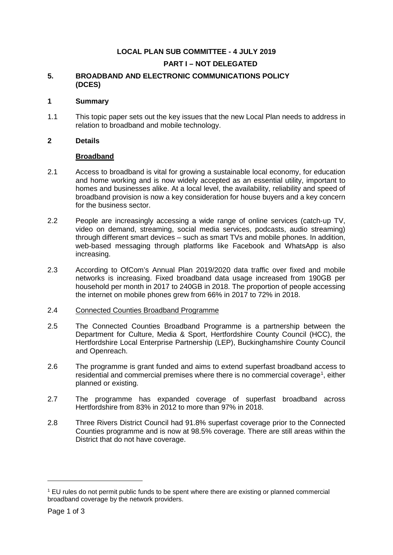# **LOCAL PLAN SUB COMMITTEE - 4 JULY 2019**

## **PART I – NOT DELEGATED**

## **5. BROADBAND AND ELECTRONIC COMMUNICATIONS POLICY (DCES)**

#### **1 Summary**

1.1 This topic paper sets out the key issues that the new Local Plan needs to address in relation to broadband and mobile technology.

## **2 Details**

#### **Broadband**

- 2.1 Access to broadband is vital for growing a sustainable local economy, for education and home working and is now widely accepted as an essential utility, important to homes and businesses alike. At a local level, the availability, reliability and speed of broadband provision is now a key consideration for house buyers and a key concern for the business sector.
- 2.2 People are increasingly accessing a wide range of online services (catch-up TV, video on demand, streaming, social media services, podcasts, audio streaming) through different smart devices – such as smart TVs and mobile phones. In addition, web-based messaging through platforms like Facebook and WhatsApp is also increasing.
- 2.3 According to OfCom's Annual Plan 2019/2020 data traffic over fixed and mobile networks is increasing. Fixed broadband data usage increased from 190GB per household per month in 2017 to 240GB in 2018. The proportion of people accessing the internet on mobile phones grew from 66% in 2017 to 72% in 2018.

## 2.4 Connected Counties Broadband Programme

- 2.5 The Connected Counties Broadband Programme is a partnership between the Department for Culture, Media & Sport, Hertfordshire County Council (HCC), the Hertfordshire Local Enterprise Partnership (LEP), Buckinghamshire County Council and Openreach.
- 2.6 The programme is grant funded and aims to extend superfast broadband access to residential and commercial premises where there is no commercial coverage<sup>[1](#page-0-0)</sup>, either planned or existing.
- 2.7 The programme has expanded coverage of superfast broadband across Hertfordshire from 83% in 2012 to more than 97% in 2018.
- 2.8 Three Rivers District Council had 91.8% superfast coverage prior to the Connected Counties programme and is now at 98.5% coverage. There are still areas within the District that do not have coverage.

-

<span id="page-0-0"></span><sup>1</sup> EU rules do not permit public funds to be spent where there are existing or planned commercial broadband coverage by the network providers.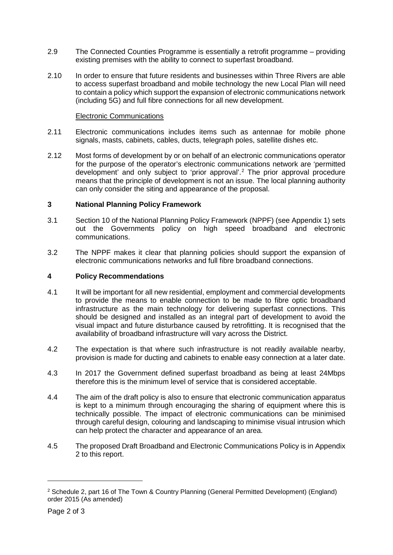- 2.9 The Connected Counties Programme is essentially a retrofit programme providing existing premises with the ability to connect to superfast broadband.
- 2.10 In order to ensure that future residents and businesses within Three Rivers are able to access superfast broadband and mobile technology the new Local Plan will need to contain a policy which support the expansion of electronic communications network (including 5G) and full fibre connections for all new development.

#### Electronic Communications

- 2.11 Electronic communications includes items such as antennae for mobile phone signals, masts, cabinets, cables, ducts, telegraph poles, satellite dishes etc.
- 2.12 Most forms of development by or on behalf of an electronic communications operator for the purpose of the operator's electronic communications network are 'permitted development' and only subject to 'prior approval'. [2](#page-1-0) The prior approval procedure means that the principle of development is not an issue. The local planning authority can only consider the siting and appearance of the proposal.

## **3 National Planning Policy Framework**

- 3.1 Section 10 of the National Planning Policy Framework (NPPF) (see Appendix 1) sets out the Governments policy on high speed broadband and electronic communications.
- 3.2 The NPPF makes it clear that planning policies should support the expansion of electronic communications networks and full fibre broadband connections.

## **4 Policy Recommendations**

- 4.1 It will be important for all new residential, employment and commercial developments to provide the means to enable connection to be made to fibre optic broadband infrastructure as the main technology for delivering superfast connections. This should be designed and installed as an integral part of development to avoid the visual impact and future disturbance caused by retrofitting. It is recognised that the availability of broadband infrastructure will vary across the District.
- 4.2 The expectation is that where such infrastructure is not readily available nearby, provision is made for ducting and cabinets to enable easy connection at a later date.
- 4.3 In 2017 the Government defined superfast broadband as being at least 24Mbps therefore this is the minimum level of service that is considered acceptable.
- 4.4 The aim of the draft policy is also to ensure that electronic communication apparatus is kept to a minimum through encouraging the sharing of equipment where this is technically possible. The impact of electronic communications can be minimised through careful design, colouring and landscaping to minimise visual intrusion which can help protect the character and appearance of an area.
- 4.5 The proposed Draft Broadband and Electronic Communications Policy is in Appendix 2 to this report.

-

<span id="page-1-0"></span><sup>2</sup> Schedule 2, part 16 of The Town & Country Planning (General Permitted Development) (England) order 2015 (As amended)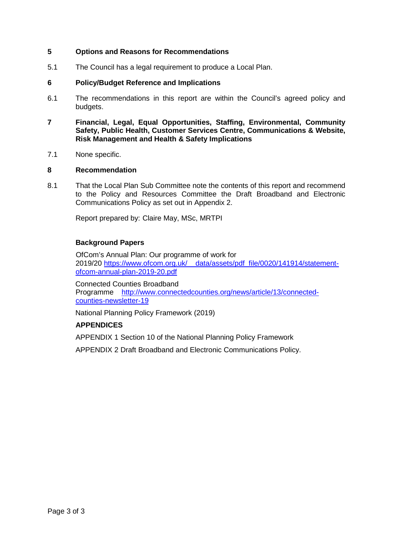## **5 Options and Reasons for Recommendations**

5.1 The Council has a legal requirement to produce a Local Plan.

#### **6 Policy/Budget Reference and Implications**

- 6.1 The recommendations in this report are within the Council's agreed policy and budgets.
- **7 Financial, Legal, Equal Opportunities, Staffing, Environmental, Community Safety, Public Health, Customer Services Centre, Communications & Website, Risk Management and Health & Safety Implications**
- 7.1 None specific.

#### **8 Recommendation**

8.1 That the Local Plan Sub Committee note the contents of this report and recommend to the Policy and Resources Committee the Draft Broadband and Electronic Communications Policy as set out in Appendix 2.

Report prepared by: Claire May, MSc, MRTPI

#### **Background Papers**

 OfCom's Annual Plan: Our programme of work for 2019/20 https://www.ofcom.org.uk/ data/assets/pdf file/0020/141914/statement[ofcom-annual-plan-2019-20.pdf](https://www.ofcom.org.uk/__data/assets/pdf_file/0020/141914/statement-ofcom-annual-plan-2019-20.pdf)

 Connected Counties Broadband Programme [http://www.connectedcounties.org/news/article/13/connected](http://www.connectedcounties.org/news/article/13/connected-counties-newsletter-19)[counties-newsletter-19](http://www.connectedcounties.org/news/article/13/connected-counties-newsletter-19)

National Planning Policy Framework (2019)

## **APPENDICES**

APPENDIX 1 Section 10 of the National Planning Policy Framework

APPENDIX 2 Draft Broadband and Electronic Communications Policy.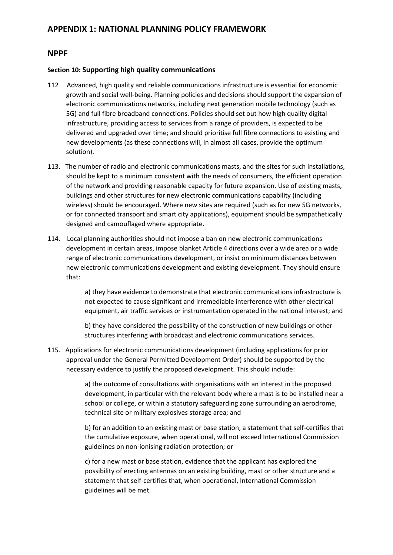# **APPENDIX 1: NATIONAL PLANNING POLICY FRAMEWORK**

## **NPPF**

#### **Section 10: Supporting high quality communications**

- 112 Advanced, high quality and reliable communications infrastructure is essential for economic growth and social well-being. Planning policies and decisions should support the expansion of electronic communications networks, including next generation mobile technology (such as 5G) and full fibre broadband connections. Policies should set out how high quality digital infrastructure, providing access to services from a range of providers, is expected to be delivered and upgraded over time; and should prioritise full fibre connections to existing and new developments (as these connections will, in almost all cases, provide the optimum solution).
- 113. The number of radio and electronic communications masts, and the sites for such installations, should be kept to a minimum consistent with the needs of consumers, the efficient operation of the network and providing reasonable capacity for future expansion. Use of existing masts, buildings and other structures for new electronic communications capability (including wireless) should be encouraged. Where new sites are required (such as for new 5G networks, or for connected transport and smart city applications), equipment should be sympathetically designed and camouflaged where appropriate.
- 114. Local planning authorities should not impose a ban on new electronic communications development in certain areas, impose blanket Article 4 directions over a wide area or a wide range of electronic communications development, or insist on minimum distances between new electronic communications development and existing development. They should ensure that:

a) they have evidence to demonstrate that electronic communications infrastructure is not expected to cause significant and irremediable interference with other electrical equipment, air traffic services or instrumentation operated in the national interest; and

b) they have considered the possibility of the construction of new buildings or other structures interfering with broadcast and electronic communications services.

115. Applications for electronic communications development (including applications for prior approval under the General Permitted Development Order) should be supported by the necessary evidence to justify the proposed development. This should include:

> a) the outcome of consultations with organisations with an interest in the proposed development, in particular with the relevant body where a mast is to be installed near a school or college, or within a statutory safeguarding zone surrounding an aerodrome, technical site or military explosives storage area; and

> b) for an addition to an existing mast or base station, a statement that self-certifies that the cumulative exposure, when operational, will not exceed International Commission guidelines on non-ionising radiation protection; or

c) for a new mast or base station, evidence that the applicant has explored the possibility of erecting antennas on an existing building, mast or other structure and a statement that self-certifies that, when operational, International Commission guidelines will be met.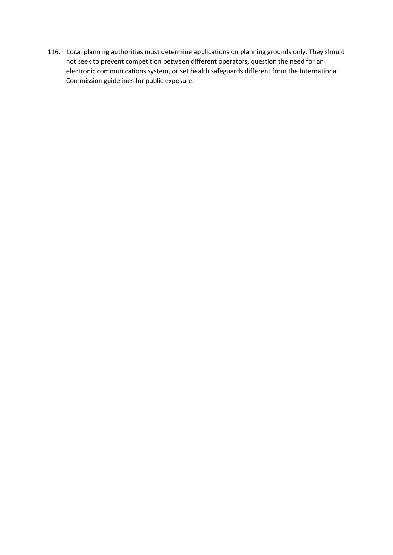116. Local planning authorities must determine applications on planning grounds only. They should not seek to prevent competition between different operators, question the need for an electronic communications system, or set health safeguards different from the International Commission guidelines for public exposure.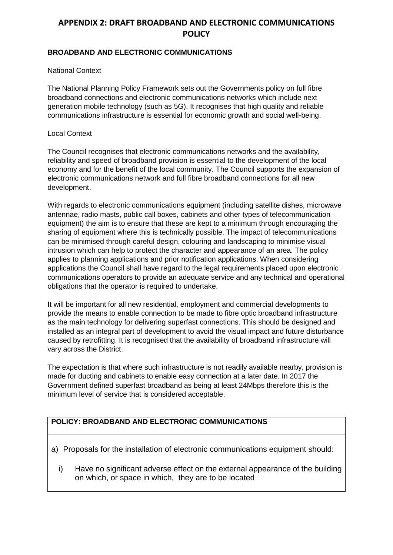# **APPENDIX 2: DRAFT BROADBAND AND ELECTRONIC COMMUNICATIONS POLICY**

## **BROADBAND AND ELECTRONIC COMMUNICATIONS**

## National Context

The National Planning Policy Framework sets out the Governments policy on full fibre broadband connections and electronic communications networks which include next generation mobile technology (such as 5G). It recognises that high quality and reliable communications infrastructure is essential for economic growth and social well-being.

#### Local Context

The Council recognises that electronic communications networks and the availability, reliability and speed of broadband provision is essential to the development of the local economy and for the benefit of the local community. The Council supports the expansion of electronic communications network and full fibre broadband connections for all new development.

With regards to electronic communications equipment (including satellite dishes, microwave antennae, radio masts, public call boxes, cabinets and other types of telecommunication equipment) the aim is to ensure that these are kept to a minimum through encouraging the sharing of equipment where this is technically possible. The impact of telecommunications can be minimised through careful design, colouring and landscaping to minimise visual intrusion which can help to protect the character and appearance of an area. The policy applies to planning applications and prior notification applications. When considering applications the Council shall have regard to the legal requirements placed upon electronic communications operators to provide an adequate service and any technical and operational obligations that the operator is required to undertake.

It will be important for all new residential, employment and commercial developments to provide the means to enable connection to be made to fibre optic broadband infrastructure as the main technology for delivering superfast connections. This should be designed and installed as an integral part of development to avoid the visual impact and future disturbance caused by retrofitting. It is recognised that the availability of broadband infrastructure will vary across the District.

The expectation is that where such infrastructure is not readily available nearby, provision is made for ducting and cabinets to enable easy connection at a later date. In 2017 the Government defined superfast broadband as being at least 24Mbps therefore this is the minimum level of service that is considered acceptable.

# **POLICY: BROADBAND AND ELECTRONIC COMMUNICATIONS**

- a) Proposals for the installation of electronic communications equipment should:
	- i) Have no significant adverse effect on the external appearance of the building on which, or space in which, they are to be located